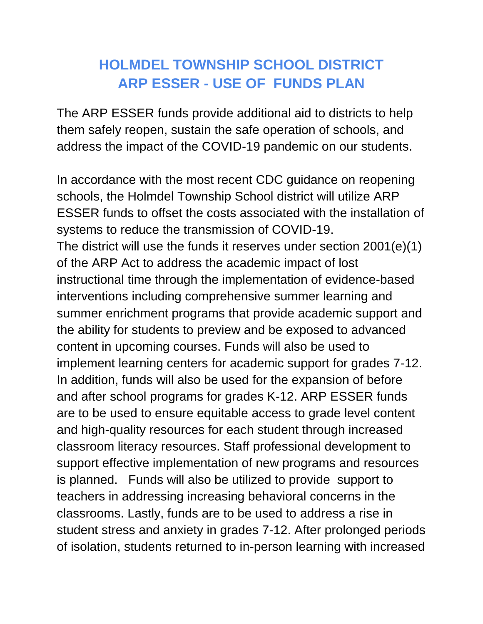## **HOLMDEL TOWNSHIP SCHOOL DISTRICT ARP ESSER - USE OF FUNDS PLAN**

The ARP ESSER funds provide additional aid to districts to help them safely reopen, sustain the safe operation of schools, and address the impact of the COVID-19 pandemic on our students.

In accordance with the most recent CDC guidance on reopening schools, the Holmdel Township School district will utilize ARP ESSER funds to offset the costs associated with the installation of systems to reduce the transmission of COVID-19. The district will use the funds it reserves under section 2001(e)(1) of the ARP Act to address the academic impact of lost instructional time through the implementation of evidence-based interventions including comprehensive summer learning and summer enrichment programs that provide academic support and the ability for students to preview and be exposed to advanced content in upcoming courses. Funds will also be used to implement learning centers for academic support for grades 7-12. In addition, funds will also be used for the expansion of before and after school programs for grades K-12. ARP ESSER funds are to be used to ensure equitable access to grade level content and high-quality resources for each student through increased classroom literacy resources. Staff professional development to support effective implementation of new programs and resources is planned. Funds will also be utilized to provide support to teachers in addressing increasing behavioral concerns in the classrooms. Lastly, funds are to be used to address a rise in student stress and anxiety in grades 7-12. After prolonged periods of isolation, students returned to in-person learning with increased